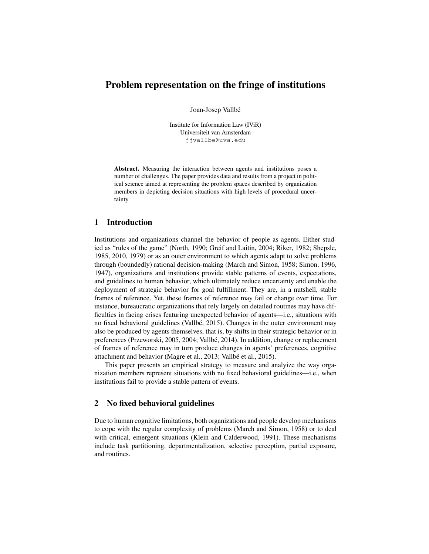# Problem representation on the fringe of institutions

Joan-Josep Vallbe´

Institute for Information Law (IViR) Universiteit van Amsterdam jjvallbe@uva.edu

Abstract. Measuring the interaction between agents and institutions poses a number of challenges. The paper provides data and results from a project in political science aimed at representing the problem spaces described by organization members in depicting decision situations with high levels of procedural uncertainty.

### 1 Introduction

Institutions and organizations channel the behavior of people as agents. Either studied as "rules of the game" (North, 1990; Greif and Laitin, 2004; Riker, 1982; Shepsle, 1985, 2010, 1979) or as an outer environment to which agents adapt to solve problems through (boundedly) rational decision-making (March and Simon, 1958; Simon, 1996, 1947), organizations and institutions provide stable patterns of events, expectations, and guidelines to human behavior, which ultimately reduce uncertainty and enable the deployment of strategic behavior for goal fulfillment. They are, in a nutshell, stable frames of reference. Yet, these frames of reference may fail or change over time. For instance, bureaucratic organizations that rely largely on detailed routines may have difficulties in facing crises featuring unexpected behavior of agents—i.e., situations with no fixed behavioral guidelines (Vallbé, 2015). Changes in the outer environment may also be produced by agents themselves, that is, by shifts in their strategic behavior or in preferences (Przeworski, 2005, 2004; Vallbe, 2014). In addition, change or replacement ´ of frames of reference may in turn produce changes in agents' preferences, cognitive attachment and behavior (Magre et al., 2013; Vallbé et al., 2015).

This paper presents an empirical strategy to measure and analyize the way organization members represent situations with no fixed behavioral guidelines—i.e., when institutions fail to provide a stable pattern of events.

## 2 No fixed behavioral guidelines

Due to human cognitive limitations, both organizations and people develop mechanisms to cope with the regular complexity of problems (March and Simon, 1958) or to deal with critical, emergent situations (Klein and Calderwood, 1991). These mechanisms include task partitioning, departmentalization, selective perception, partial exposure, and routines.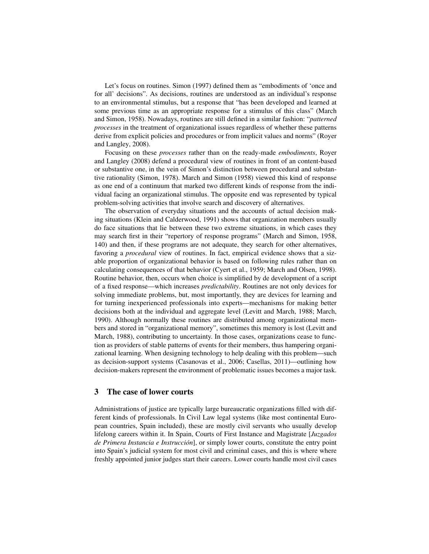Let's focus on routines. Simon (1997) defined them as "embodiments of 'once and for all' decisions". As decisions, routines are understood as an individual's response to an environmental stimulus, but a response that "has been developed and learned at some previous time as an appropriate response for a stimulus of this class" (March and Simon, 1958). Nowadays, routines are still defined in a similar fashion: "*patterned processes* in the treatment of organizational issues regardless of whether these patterns derive from explicit policies and procedures or from implicit values and norms" (Royer and Langley, 2008).

Focusing on these *processes* rather than on the ready-made *embodiments*, Royer and Langley (2008) defend a procedural view of routines in front of an content-based or substantive one, in the vein of Simon's distinction between procedural and substantive rationality (Simon, 1978). March and Simon (1958) viewed this kind of response as one end of a continuum that marked two different kinds of response from the individual facing an organizational stimulus. The opposite end was represented by typical problem-solving activities that involve search and discovery of alternatives.

The observation of everyday situations and the accounts of actual decision making situations (Klein and Calderwood, 1991) shows that organization members usually do face situations that lie between these two extreme situations, in which cases they may search first in their "repertory of response programs" (March and Simon, 1958, 140) and then, if these programs are not adequate, they search for other alternatives, favoring a *procedural* view of routines. In fact, empirical evidence shows that a sizable proportion of organizational behavior is based on following rules rather than on calculating consequences of that behavior (Cyert et al., 1959; March and Olsen, 1998). Routine behavior, then, occurs when choice is simplified by de development of a script of a fixed response—which increases *predictability*. Routines are not only devices for solving immediate problems, but, most importantly, they are devices for learning and for turning inexperienced professionals into experts—mechanisms for making better decisions both at the individual and aggregate level (Levitt and March, 1988; March, 1990). Although normally these routines are distributed among organizational members and stored in "organizational memory", sometimes this memory is lost (Levitt and March, 1988), contributing to uncertainty. In those cases, organizations cease to function as providers of stable patterns of events for their members, thus hampering organizational learning. When designing technology to help dealing with this problem—such as decision-support systems (Casanovas et al., 2006; Casellas, 2011)—outlining how decision-makers represent the environment of problematic issues becomes a major task.

## 3 The case of lower courts

Administrations of justice are typically large bureaucratic organizations filled with different kinds of professionals. In Civil Law legal systems (like most continental European countries, Spain included), these are mostly civil servants who usually develop lifelong careers within it. In Spain, Courts of First Instance and Magistrate [*Juzgados de Primera Instancia e Instrucción*], or simply lower courts, constitute the entry point into Spain's judicial system for most civil and criminal cases, and this is where where freshly appointed junior judges start their careers. Lower courts handle most civil cases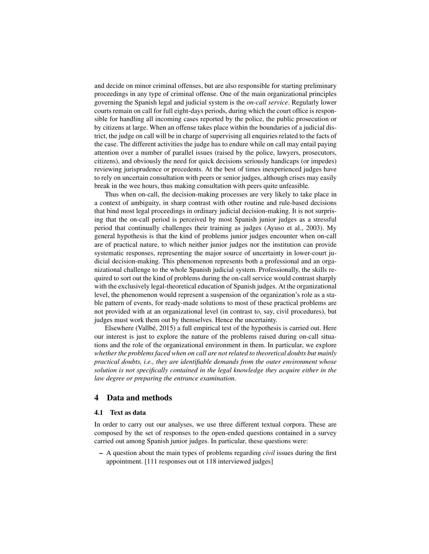and decide on minor criminal offenses, but are also responsible for starting preliminary proceedings in any type of criminal offense. One of the main organizational principles governing the Spanish legal and judicial system is the *on-call service*. Regularly lower courts remain on call for full eight-days periods, during which the court office is responsible for handling all incoming cases reported by the police, the public prosecution or by citizens at large. When an offense takes place within the boundaries of a judicial district, the judge on call will be in charge of supervising all enquiries related to the facts of the case. The different activities the judge has to endure while on call may entail paying attention over a number of parallel issues (raised by the police, lawyers, prosecutors, citizens), and obviously the need for quick decisions seriously handicaps (or impedes) reviewing jurisprudence or precedents. At the best of times inexperienced judges have to rely on uncertain consultation with peers or senior judges, although crises may easily break in the wee hours, thus making consultation with peers quite unfeasible.

Thus when on-call, the decision-making processes are very likely to take place in a context of ambiguity, in sharp contrast with other routine and rule-based decisions that bind most legal proceedings in ordinary judicial decision-making. It is not surprising that the on-call period is perceived by most Spanish junior judges as a stressful period that continually challenges their training as judges (Ayuso et al., 2003). My general hypothesis is that the kind of problems junior judges encounter when on-call are of practical nature, to which neither junior judges nor the institution can provide systematic responses, representing the major source of uncertainty in lower-court judicial decision-making. This phenomenon represents both a professional and an organizational challenge to the whole Spanish judicial system. Professionally, the skills required to sort out the kind of problems during the on-call service would contrast sharply with the exclusively legal-theoretical education of Spanish judges. At the organizational level, the phenomenon would represent a suspension of the organization's role as a stable pattern of events, for ready-made solutions to most of these practical problems are not provided with at an organizational level (in contrast to, say, civil procedures), but judges must work them out by themselves. Hence the uncertainty.

Elsewhere (Vallbé,  $2015$ ) a full empirical test of the hypothesis is carried out. Here our interest is just to explore the nature of the problems raised during on-call situations and the role of the organizational environment in them. In particular, we explore *whether the problems faced when on call are not related to theoretical doubts but mainly practical doubts, i.e., they are identifiable demands from the outer environment whose solution is not specifically contained in the legal knowledge they acquire either in the law degree or preparing the entrance examination*.

### 4 Data and methods

#### 4.1 Text as data

In order to carry out our analyses, we use three different textual corpora. These are composed by the set of responses to the open-ended questions contained in a survey carried out among Spanish junior judges. In particular, these questions were:

– A question about the main types of problems regarding *civil* issues during the first appointment. [111 responses out ot 118 interviewed judges]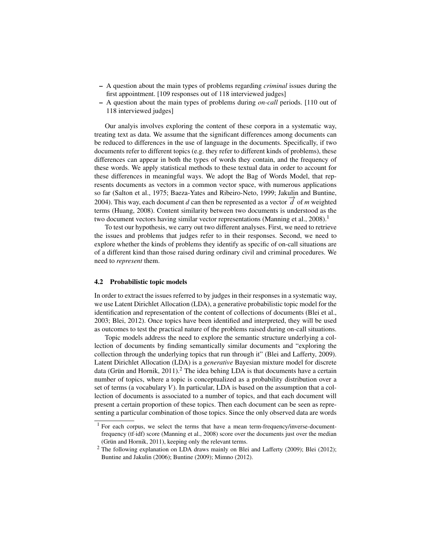- A question about the main types of problems regarding *criminal* issues during the first appointment. [109 responses out of 118 interviewed judges]
- A question about the main types of problems during *on-call* periods. [110 out of 118 interviewed judges]

Our analyis involves exploring the content of these corpora in a systematic way, treating text as data. We assume that the significant differences among documents can be reduced to differences in the use of language in the documents. Specifically, if two documents refer to different topics (e.g. they refer to different kinds of problems), these differences can appear in both the types of words they contain, and the frequency of these words. We apply statistical methods to these textual data in order to account for these differences in meaningful ways. We adopt the Bag of Words Model, that represents documents as vectors in a common vector space, with numerous applications so far (Salton et al., 1975; Baeza-Yates and Ribeiro-Neto, 1999; Jakulin and Buntine, 2004). This way, each document *d* can then be represented as a vector  $\vec{d}$  of *m* weighted terms (Huang, 2008). Content similarity between two documents is understood as the two document vectors having similar vector representations (Manning et al., 2008).<sup>1</sup>

To test our hypothesis, we carry out two different analyses. First, we need to retrieve the issues and problems that judges refer to in their responses. Second, we need to explore whether the kinds of problems they identify as specific of on-call situations are of a different kind than those raised during ordinary civil and criminal procedures. We need to *represent* them.

#### 4.2 Probabilistic topic models

In order to extract the issues referred to by judges in their responses in a systematic way, we use Latent Dirichlet Allocation (LDA), a generative probabilistic topic model for the identification and representation of the content of collections of documents (Blei et al., 2003; Blei, 2012). Once topics have been identified and interpreted, they will be used as outcomes to test the practical nature of the problems raised during on-call situations.

Topic models address the need to explore the semantic structure underlying a collection of documents by finding semantically similar documents and "exploring the collection through the underlying topics that run through it" (Blei and Lafferty, 2009). Latent Dirichlet Allocation (LDA) is a *generative* Bayesian mixture model for discrete data (Grün and Hornik,  $2011$ ).<sup>2</sup> The idea behing LDA is that documents have a certain number of topics, where a topic is conceptualized as a probability distribution over a set of terms (a vocabulary *V*). In particular, LDA is based on the assumption that a collection of documents is associated to a number of topics, and that each document will present a certain proportion of these topics. Then each document can be seen as representing a particular combination of those topics. Since the only observed data are words

 $1$  For each corpus, we select the terms that have a mean term-frequency/inverse-documentfrequency (tf·idf) score (Manning et al., 2008) score over the documents just over the median (Grün and Hornik, 2011), keeping only the relevant terms.

<sup>&</sup>lt;sup>2</sup> The following explanation on LDA draws mainly on Blei and Lafferty (2009); Blei (2012); Buntine and Jakulin (2006); Buntine (2009); Mimno (2012).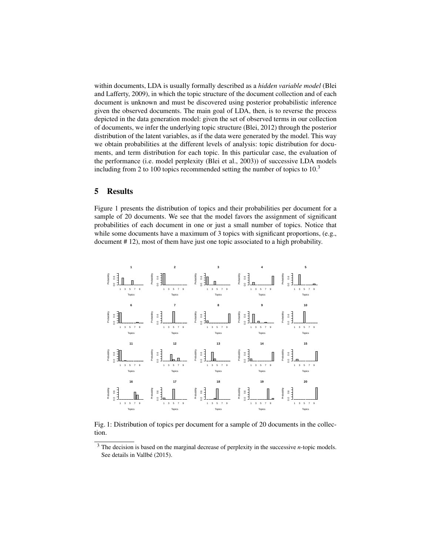within documents, LDA is usually formally described as a *hidden variable model* (Blei and Lafferty, 2009), in which the topic structure of the document collection and of each document is unknown and must be discovered using posterior probabilistic inference given the observed documents. The main goal of LDA, then, is to reverse the process depicted in the data generation model: given the set of observed terms in our collection of documents, we infer the underlying topic structure (Blei, 2012) through the posterior distribution of the latent variables, as if the data were generated by the model. This way we obtain probabilities at the different levels of analysis: topic distribution for documents, and term distribution for each topic. In this particular case, the evaluation of the performance (i.e. model perplexity (Blei et al., 2003)) of successive LDA models including from 2 to 100 topics recommended setting the number of topics to 10.<sup>3</sup>

### 5 Results

Figure 1 presents the distribution of topics and their probabilities per document for a sample of 20 documents. We see that the model favors the assignment of significant probabilities of each document in one or just a small number of topics. Notice that while some documents have a maximum of 3 topics with significant proportions, (e.g., document # 12), most of them have just one topic associated to a high probability.



Fig. 1: Distribution of topics per document for a sample of 20 documents in the collection.

<sup>3</sup> The decision is based on the marginal decrease of perplexity in the successive *n*-topic models. See details in Vallbé (2015).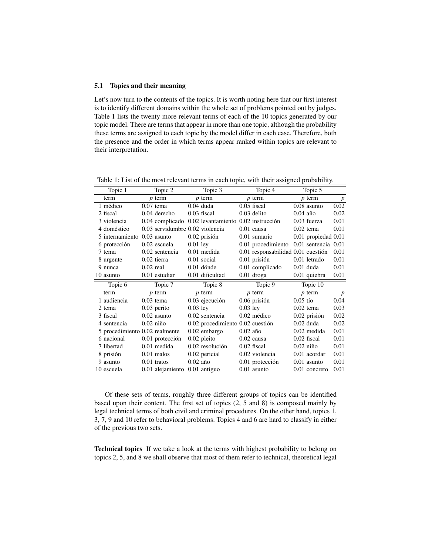#### 5.1 Topics and their meaning

Let's now turn to the contents of the topics. It is worth noting here that our first interest is to identify different domains within the whole set of problems pointed out by judges. Table 1 lists the twenty more relevant terms of each of the 10 topics generated by our topic model. There are terms that appear in more than one topic, although the probability these terms are assigned to each topic by the model differ in each case. Therefore, both the presence and the order in which terms appear ranked within topics are relevant to their interpretation.

| Topic 1                        |             | Topic 2                         |            | Topic 3                                             |            | Topic 4                            |            | Topic 5                 |                  |
|--------------------------------|-------------|---------------------------------|------------|-----------------------------------------------------|------------|------------------------------------|------------|-------------------------|------------------|
| term                           |             | $\n  p $ term                   |            | $p$ term                                            |            | $p$ term                           |            | $p$ term                | $\boldsymbol{p}$ |
| 1 médico                       | $0.07$ tema |                                 |            | $0.04$ duda                                         |            | $0.05$ fiscal                      |            | $0.08$ asunto           | 0.02             |
| 2 fiscal                       |             | $0.04$ derecho                  |            | $0.03$ fiscal                                       |            | $0.03$ delito                      | $0.04$ año |                         | 0.02             |
| 3 violencia                    |             |                                 |            | 0.04 complicado 0.02 levantamiento 0.02 instrucción |            |                                    |            | $0.03$ fuerza           | 0.01             |
| 4 doméstico                    |             | 0.03 servidumbre 0.02 violencia |            |                                                     |            | $0.01$ causa                       |            | $0.02$ tema             | 0.01             |
| 5 internamiento                |             | $0.03$ asunto                   |            | $0.02$ prisión                                      |            | 0.01 sumario                       |            | 0.01 propiedad 0.01     |                  |
| 6 protección                   |             | 0.02 escuela                    | $0.01$ ley |                                                     |            | 0.01 procedimiento                 |            | $0.01$ sentencia $0.01$ |                  |
| 7 tema                         |             | 0.02 sentencia                  |            | $0.01$ medida                                       |            | 0.01 responsabilidad 0.01 cuestión |            |                         | 0.01             |
| 8 urgente                      |             | $0.02$ tierra                   |            | 0.01 social                                         |            | 0.01 prisión                       |            | 0.01 letrado            | 0.01             |
| 9 nunca                        | $0.02$ real |                                 |            | $0.01$ dónde                                        |            | 0.01 complicado                    |            | $0.01$ duda             | 0.01             |
| 10 asunto                      |             | $0.01$ estudiar                 |            | 0.01 dificultad                                     |            | $0.01$ droga                       |            | 0.01 quiebra            | 0.01             |
|                                |             |                                 |            |                                                     |            |                                    |            |                         |                  |
| Topic 6                        |             | Topic 7                         |            | Topic 8                                             |            | Topic 9                            |            | Topic 10                |                  |
| term                           |             | $p$ term                        |            | $p$ term                                            |            | $p$ term                           |            | $p$ term                | $\boldsymbol{p}$ |
| 1 audiencia                    | $0.03$ tema |                                 |            | $0.03$ ejecución                                    |            | $0.06$ prisión                     | $0.05$ tío |                         | 0.04             |
| 2 tema                         |             | $0.03$ perito                   | $0.03$ ley |                                                     | $0.03$ ley |                                    |            | $0.02$ tema             | 0.03             |
| 3 fiscal                       |             | $0.02$ asunto                   |            | 0.02 sentencia                                      |            | $0.02$ médico                      |            | $0.02$ prisión          | 0.02             |
| 4 sentencia                    | $0.02$ niño |                                 |            | $0.02$ procedimiento $0.02$ cuestión                |            |                                    |            | $0.02$ duda             | 0.02             |
| 5 procedimiento 0.02 realmente |             |                                 |            | $0.02$ embargo                                      | $0.02$ año |                                    |            | $0.02$ medida           | 0.01             |
| 6 nacional                     |             | $0.01$ protección               |            | $0.02$ pleito                                       |            | $0.02$ causa                       |            | $0.02$ fiscal           | 0.01             |
| 7 libertad                     |             | $0.01$ medida                   |            | 0.02 resolución                                     |            | $0.02$ fiscal                      |            | $0.02$ niño             | 0.01             |
| 8 prisión                      |             | $0.01$ malos                    |            | $0.02$ pericial                                     |            | 0.02 violencia                     |            | $0.01$ acordar          | 0.01             |
| 9 asunto                       |             | $0.01$ tratos                   | $0.02$ año |                                                     |            | 0.01 protección                    |            | $0.01$ asunto           | 0.01             |

Table 1: List of the most relevant terms in each topic, with their assigned probability.

Of these sets of terms, roughly three different groups of topics can be identified based upon their content. The first set of topics (2, 5 and 8) is composed mainly by legal technical terms of both civil and criminal procedures. On the other hand, topics 1, 3, 7, 9 and 10 refer to behavioral problems. Topics 4 and 6 are hard to classify in either of the previous two sets.

Technical topics If we take a look at the terms with highest probability to belong on topics 2, 5, and 8 we shall observe that most of them refer to technical, theoretical legal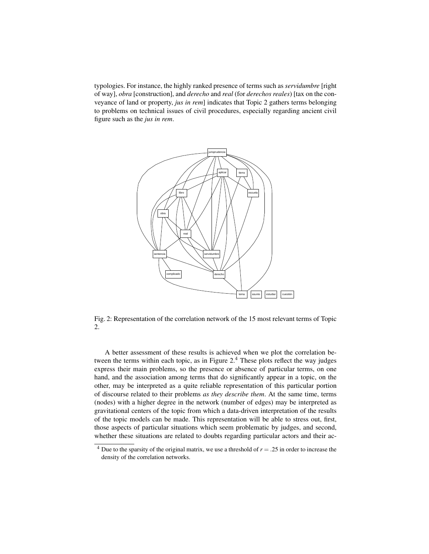typologies. For instance, the highly ranked presence of terms such as *servidumbre* [right of way], *obra* [construction], and *derecho* and *real* (for *derechos reales*) [tax on the conveyance of land or property, *jus in rem*] indicates that Topic 2 gathers terms belonging to problems on technical issues of civil procedures, especially regarding ancient civil figure such as the *jus in rem*.



Fig. 2: Representation of the correlation network of the 15 most relevant terms of Topic 2.

A better assessment of these results is achieved when we plot the correlation between the terms within each topic, as in Figure  $2<sup>4</sup>$  These plots reflect the way judges express their main problems, so the presence or absence of particular terms, on one hand, and the association among terms that do significantly appear in a topic, on the other, may be interpreted as a quite reliable representation of this particular portion of discourse related to their problems *as they describe them*. At the same time, terms (nodes) with a higher degree in the network (number of edges) may be interpreted as gravitational centers of the topic from which a data-driven interpretation of the results of the topic models can be made. This representation will be able to stress out, first, those aspects of particular situations which seem problematic by judges, and second, whether these situations are related to doubts regarding particular actors and their ac-

<sup>&</sup>lt;sup>4</sup> Due to the sparsity of the original matrix, we use a threshold of  $r = .25$  in order to increase the density of the correlation networks.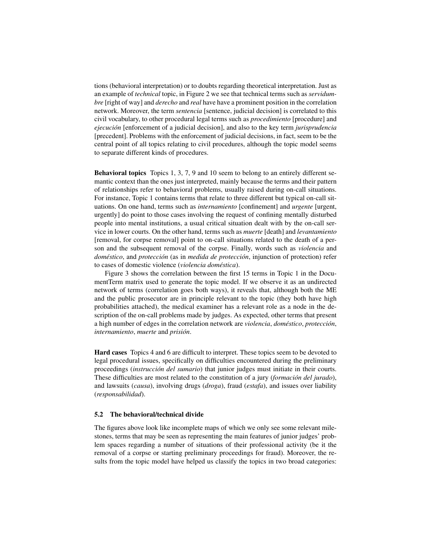tions (behavioral interpretation) or to doubts regarding theoretical interpretation. Just as an example of *technical* topic, in Figure 2 we see that technical terms such as *servidumbre* [right of way] and *derecho* and *real* have have a prominent position in the correlation network. Moreover, the term *sentencia* [sentence, judicial decision] is correlated to this civil vocabulary, to other procedural legal terms such as *procedimiento* [procedure] and *ejecucion´* [enforcement of a judicial decision], and also to the key term *jurisprudencia* [precedent]. Problems with the enforcement of judicial decisions, in fact, seem to be the central point of all topics relating to civil procedures, although the topic model seems to separate different kinds of procedures.

Behavioral topics Topics 1, 3, 7, 9 and 10 seem to belong to an entirely different semantic context than the ones just interpreted, mainly because the terms and their pattern of relationships refer to behavioral problems, usually raised during on-call situations. For instance, Topic 1 contains terms that relate to three different but typical on-call situations. On one hand, terms such as *internamiento* [confinement] and *urgente* [urgent, urgently] do point to those cases involving the request of confining mentally disturbed people into mental institutions, a usual critical situation dealt with by the on-call service in lower courts. On the other hand, terms such as *muerte* [death] and *levantamiento* [removal, for corpse removal] point to on-call situations related to the death of a person and the subsequent removal of the corpse. Finally, words such as *violencia* and *doméstico*, and *protección* (as in *medida de protección*, injunction of protection) refer to cases of domestic violence (*violencia domestica ´* ).

Figure 3 shows the correlation between the first 15 terms in Topic 1 in the DocumentTerm matrix used to generate the topic model. If we observe it as an undirected network of terms (correlation goes both ways), it reveals that, although both the ME and the public prosecutor are in principle relevant to the topic (they both have high probabilities attached), the medical examiner has a relevant role as a node in the description of the on-call problems made by judges. As expected, other terms that present a high number of edges in the correlation network are *violencia*, *doméstico*, *protección*, *internamiento*, *muerte* and *prision´* .

Hard cases Topics 4 and 6 are difficult to interpret. These topics seem to be devoted to legal procedural issues, specifically on difficulties encountered during the preliminary proceedings *(instrucción del sumario)* that junior judges must initiate in their courts. These difficulties are most related to the constitution of a jury (*formación del jurado*), and lawsuits (*causa*), involving drugs (*droga*), fraud (*estafa*), and issues over liability (*responsabilidad*).

#### 5.2 The behavioral/technical divide

The figures above look like incomplete maps of which we only see some relevant milestones, terms that may be seen as representing the main features of junior judges' problem spaces regarding a number of situations of their professional activity (be it the removal of a corpse or starting preliminary proceedings for fraud). Moreover, the results from the topic model have helped us classify the topics in two broad categories: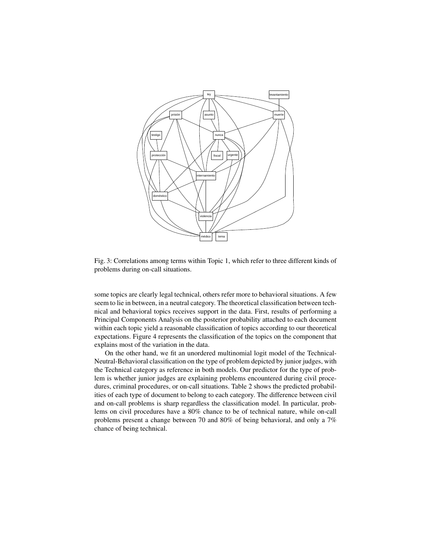

Fig. 3: Correlations among terms within Topic 1, which refer to three different kinds of problems during on-call situations.

some topics are clearly legal technical, others refer more to behavioral situations. A few seem to lie in between, in a neutral category. The theoretical classification between technical and behavioral topics receives support in the data. First, results of performing a Principal Components Analysis on the posterior probability attached to each document within each topic yield a reasonable classification of topics according to our theoretical expectations. Figure 4 represents the classification of the topics on the component that explains most of the variation in the data.

On the other hand, we fit an unordered multinomial logit model of the Technical-Neutral-Behavioral classification on the type of problem depicted by junior judges, with the Technical category as reference in both models. Our predictor for the type of problem is whether junior judges are explaining problems encountered during civil procedures, criminal procedures, or on-call situations. Table 2 shows the predicted probabilities of each type of document to belong to each category. The difference between civil and on-call problems is sharp regardless the classification model. In particular, problems on civil procedures have a 80% chance to be of technical nature, while on-call problems present a change between 70 and 80% of being behavioral, and only a 7% chance of being technical.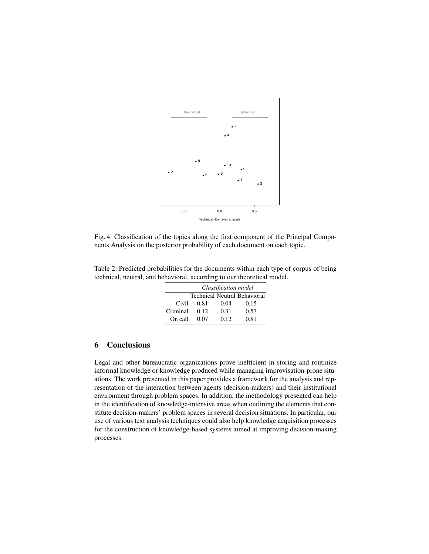

Fig. 4: Classification of the topics along the first component of the Principal Components Analysis on the posterior probability of each document on each topic.

Table 2: Predicted probabilities for the documents within each type of corpus of being technical, neutral, and behavioral, according to our theoretical model.

|          | Classification model |      |                                     |  |  |  |  |
|----------|----------------------|------|-------------------------------------|--|--|--|--|
|          |                      |      | <b>Technical Neutral Behavioral</b> |  |  |  |  |
| Civil    | 0.81                 | 0.04 | 0.15                                |  |  |  |  |
| Criminal | 0.12                 | 0.31 | 0.57                                |  |  |  |  |
| On call  | 0.07                 | 0.12 | 0.81                                |  |  |  |  |

## 6 Conclusions

Legal and other bureaucratic organizations prove inefficient in storing and routinize informal knowledge or knowledge produced while managing improvisation-prone situations. The work presented in this paper provides a framework for the analysis and representation of the interaction between agents (decision-makers) and their institutional environment through problem spaces. In addition, the methodology presented can help in the identification of knowledge-intensive areas when outlining the elements that constitute decision-makers' problem spaces in several decision situations. In particular, our use of various text analysis techniques could also help knowledge acquisition processes for the construction of knowledge-based systems aimed at improving decision-making processes.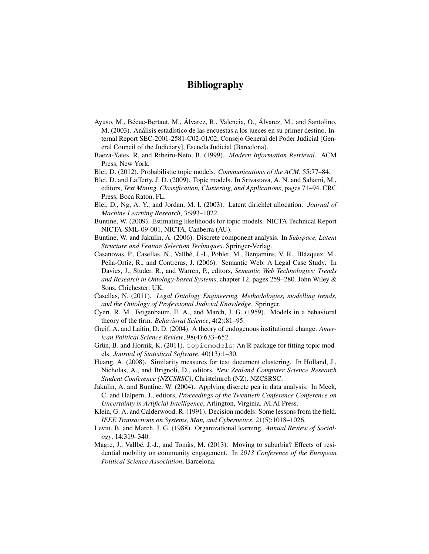# Bibliography

- Ayuso, M., Bécue-Bertaut, M., Álvarez, R., Valencia, O., Álvarez, M., and Santolino, M. (2003). Análisis estadístico de las encuestas a los jueces en su primer destino. Internal Report SEC-2001-2581-C02-01/02, Consejo General del Poder Judicial [General Council of the Judiciary], Escuela Judicial (Barcelona).
- Baeza-Yates, R. and Ribeiro-Neto, B. (1999). *Modern Information Retrieval*. ACM Press, New York.
- Blei, D. (2012). Probabilistic topic models. *Communications of the ACM*, 55:77–84.
- Blei, D. and Lafferty, J. D. (2009). Topic models. In Srivastava, A. N. and Sahami, M., editors, *Text Mining. Classification, Clustering, and Applications*, pages 71–94. CRC Press, Boca Raton, FL.
- Blei, D., Ng, A. Y., and Jordan, M. I. (2003). Latent dirichlet allocation. *Journal of Machine Learning Research*, 3:993–1022.
- Buntine, W. (2009). Estimating likelihoods for topic models. NICTA Technical Report NICTA-SML-09-001, NICTA, Canberra (AU).
- Buntine, W. and Jakulin, A. (2006). Discrete component analysis. In *Subspace, Latent Structure and Feature Selection Techniques*. Springer-Verlag.
- Casanovas, P., Casellas, N., Vallbé, J.-J., Poblet, M., Benjamins, V. R., Blázquez, M., Peña-Ortiz, R., and Contreras, J. (2006). Semantic Web: A Legal Case Study. In Davies, J., Studer, R., and Warren, P., editors, *Semantic Web Technologies: Trends and Research in Ontology-based Systems*, chapter 12, pages 259–280. John Wiley & Sons, Chichester: UK.
- Casellas, N. (2011). *Legal Ontology Engineering. Methodologies, modelling trends, and the Ontology of Professional Judicial Knowledge*. Springer.
- Cyert, R. M., Feigenbaum, E. A., and March, J. G. (1959). Models in a behavioral theory of the firm. *Behavioral Science*, 4(2):81–95.
- Greif, A. and Laitin, D. D. (2004). A theory of endogenous institutional change. *American Political Science Review*, 98(4):633–652.
- Grün, B. and Hornik, K. (2011). topicmodels: An R package for fitting topic models. *Journal of Statistical Software*, 40(13):1–30.
- Huang, A. (2008). Similarity measures for text document clustering. In Holland, J., Nicholas, A., and Brignoli, D., editors, *New Zealand Computer Science Research Student Conference (NZCSRSC)*, Christchurch (NZ). NZCSRSC.
- Jakulin, A. and Buntine, W. (2004). Applying discrete pca in data analysis. In Meek, C. and Halpern, J., editors, *Proceedings of the Twentieth Conference Conference on Uncertainty in Artificial Intelligence*, Arlington, Virginia. AUAI Press.
- Klein, G. A. and Calderwood, R. (1991). Decision models: Some lessons from the field. *IEEE Transactions on Systems, Man, and Cybernetics*, 21(5):1018–1026.
- Levitt, B. and March, J. G. (1988). Organizational learning. *Annual Review of Sociology*, 14:319–340.
- Magre, J., Vallbé, J.-J., and Tomàs, M. (2013). Moving to suburbia? Effects of residential mobility on community engagement. In *2013 Conference of the European Political Science Association*, Barcelona.